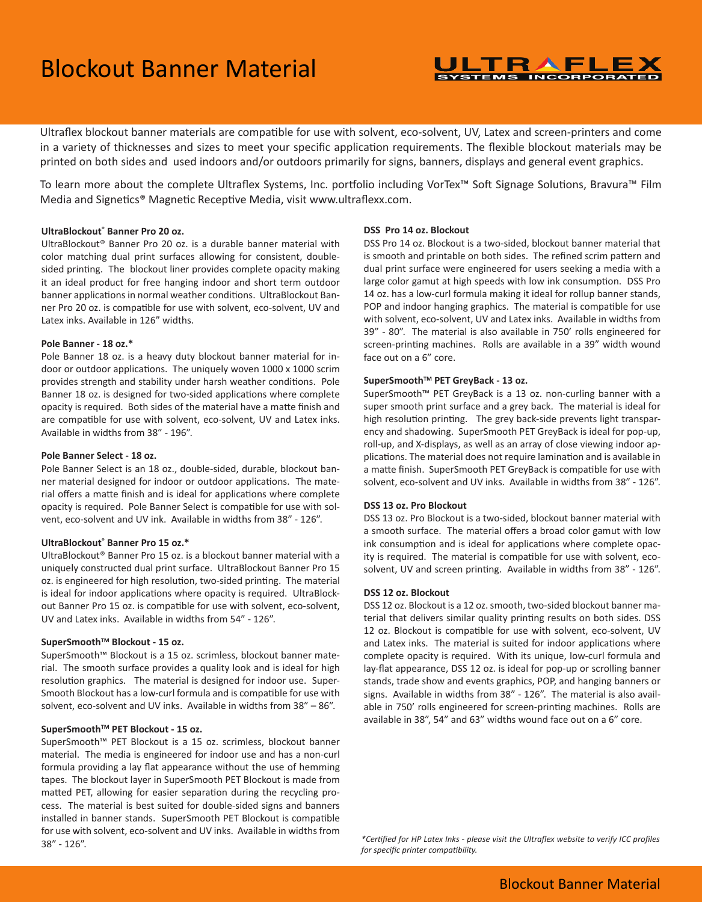# Blockout Banner Material

#### ULTRAFLEX **SYSTEMS INCORPORATED**

Ultraflex blockout banner materials are compatible for use with solvent, eco-solvent, UV, Latex and screen-printers and come in a variety of thicknesses and sizes to meet your specific application requirements. The flexible blockout materials may be printed on both sides and used indoors and/or outdoors primarily for signs, banners, displays and general event graphics.

To learn more about the complete Ultraflex Systems, Inc. portfolio including VorTex™ Soft Signage Solutions, Bravura™ Film Media and Signetics® Magnetic Receptive Media, visit www.ultraflexx.com.

#### **UltraBlockout® Banner Pro 20 oz.**

UltraBlockout® Banner Pro 20 oz. is a durable banner material with color matching dual print surfaces allowing for consistent, doublesided printing. The blockout liner provides complete opacity making it an ideal product for free hanging indoor and short term outdoor banner applications in normal weather conditions. UltraBlockout Banner Pro 20 oz. is compatible for use with solvent, eco-solvent, UV and Latex inks. Available in 126" widths.

#### **Pole Banner - 18 oz.\***

Pole Banner 18 oz. is a heavy duty blockout banner material for indoor or outdoor applications. The uniquely woven 1000 x 1000 scrim provides strength and stability under harsh weather conditions. Pole Banner 18 oz. is designed for two-sided applications where complete opacity is required. Both sides of the material have a matte finish and are compatible for use with solvent, eco-solvent, UV and Latex inks. Available in widths from 38" - 196".

#### **Pole Banner Select - 18 oz.**

Pole Banner Select is an 18 oz., double-sided, durable, blockout banner material designed for indoor or outdoor applications. The material offers a matte finish and is ideal for applications where complete opacity is required. Pole Banner Select is compatible for use with solvent, eco-solvent and UV ink. Available in widths from 38" - 126".

#### **UltraBlockout® Banner Pro 15 oz.\***

UltraBlockout® Banner Pro 15 oz. is a blockout banner material with a uniquely constructed dual print surface. UltraBlockout Banner Pro 15 oz. is engineered for high resolution, two-sided printing. The material is ideal for indoor applications where opacity is required. UltraBlockout Banner Pro 15 oz. is compatible for use with solvent, eco-solvent, UV and Latex inks. Available in widths from 54" - 126".

#### SuperSmooth<sup>™</sup> Blockout - 15 oz.

SuperSmooth™ Blockout is a 15 oz. scrimless, blockout banner material. The smooth surface provides a quality look and is ideal for high resolution graphics. The material is designed for indoor use. Super-Smooth Blockout has a low-curl formula and is compatible for use with solvent, eco-solvent and UV inks. Available in widths from 38" – 86".

#### SuperSmooth<sup>™</sup> PET Blockout - 15 oz.

SuperSmooth™ PET Blockout is a 15 oz. scrimless, blockout banner material. The media is engineered for indoor use and has a non-curl formula providing a lay flat appearance without the use of hemming tapes. The blockout layer in SuperSmooth PET Blockout is made from matted PET, allowing for easier separation during the recycling process. The material is best suited for double-sided signs and banners installed in banner stands. SuperSmooth PET Blockout is compatible for use with solvent, eco-solvent and UV inks. Available in widths from 38" - 126".

#### **DSS Pro 14 oz. Blockout**

DSS Pro 14 oz. Blockout is a two-sided, blockout banner material that is smooth and printable on both sides. The refined scrim pattern and dual print surface were engineered for users seeking a media with a large color gamut at high speeds with low ink consumption. DSS Pro 14 oz. has a low-curl formula making it ideal for rollup banner stands, POP and indoor hanging graphics. The material is compatible for use with solvent, eco-solvent, UV and Latex inks. Available in widths from 39" - 80". The material is also available in 750' rolls engineered for screen-printing machines. Rolls are available in a 39" width wound face out on a 6" core.

#### SuperSmooth<sup>™</sup> PET GreyBack - 13 oz.

SuperSmooth™ PET GreyBack is a 13 oz. non-curling banner with a super smooth print surface and a grey back. The material is ideal for high resolution printing. The grey back-side prevents light transparency and shadowing. SuperSmooth PET GreyBack is ideal for pop-up, roll-up, and X-displays, as well as an array of close viewing indoor applications. The material does not require lamination and is available in a matte finish. SuperSmooth PET GreyBack is compatible for use with solvent, eco-solvent and UV inks. Available in widths from 38" - 126".

#### **DSS 13 oz. Pro Blockout**

DSS 13 oz. Pro Blockout is a two-sided, blockout banner material with a smooth surface. The material offers a broad color gamut with low ink consumption and is ideal for applications where complete opacity is required. The material is compatible for use with solvent, ecosolvent, UV and screen printing. Available in widths from 38" - 126".

#### **DSS 12 oz. Blockout**

DSS 12 oz. Blockout is a 12 oz. smooth, two-sided blockout banner material that delivers similar quality printing results on both sides. DSS 12 oz. Blockout is compatible for use with solvent, eco-solvent, UV and Latex inks. The material is suited for indoor applications where complete opacity is required. With its unique, low-curl formula and lay-flat appearance, DSS 12 oz. is ideal for pop-up or scrolling banner stands, trade show and events graphics, POP, and hanging banners or signs. Available in widths from 38" - 126". The material is also available in 750' rolls engineered for screen-printing machines. Rolls are available in 38", 54" and 63" widths wound face out on a 6" core.

*\*Certified for HP Latex Inks - please visit the Ultraflex website to verify ICC profiles for specific printer compatibility.*